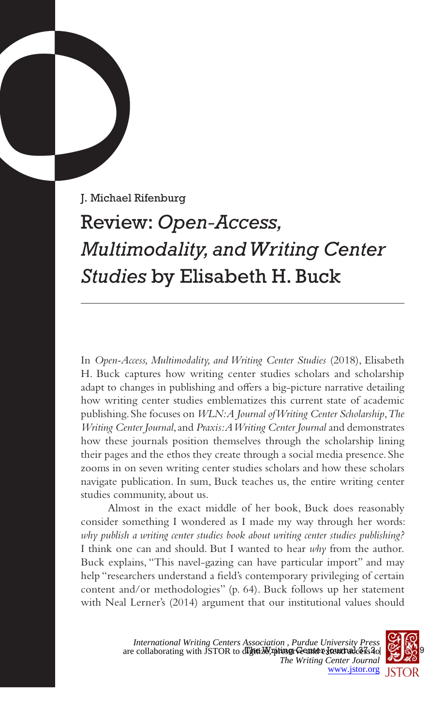J. Michael Rifenburg

## Review: *Open-Access, Multimodality, and Writing Center Studies* by Elisabeth H. Buck

In *Open-Access, Multimodality, and Writing Center Studies* (2018), Elisabeth H. Buck captures how writing center studies scholars and scholarship adapt to changes in publishing and offers a big-picture narrative detailing how writing center studies emblematizes this current state of academic publishing. She focuses on *WLN: A Journal of Writing Center Scholarship*, *The Writing Center Journal*, and *Praxis: A Writing Center Journal* and demonstrates how these journals position themselves through the scholarship lining their pages and the ethos they create through a social media presence. She zooms in on seven writing center studies scholars and how these scholars navigate publication. In sum, Buck teaches us, the entire writing center studies community, about us.

Almost in the exact middle of her book, Buck does reasonably consider something I wondered as I made my way through her words: *why publish a writing center studies book about writing center studies publishing?* I think one can and should. But I wanted to hear *why* from the author. Buck explains, "This navel-gazing can have particular import" and may help "researchers understand a field's contemporary privileging of certain content and/or methodologies" (p. 64). Buck follows up her statement with Neal Lerner's (2014) argument that our institutional values should

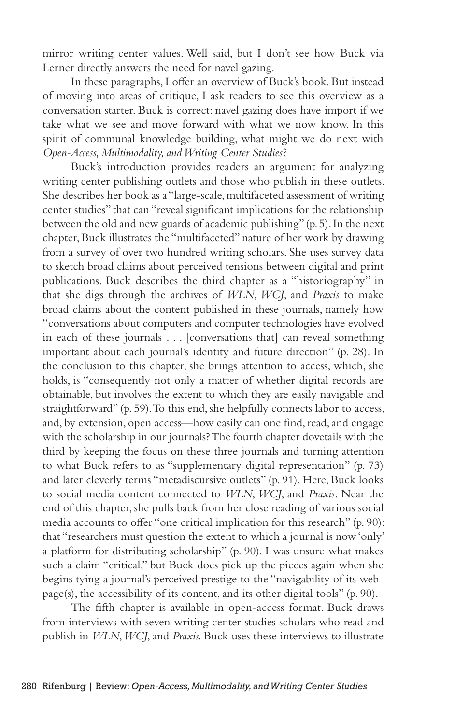mirror writing center values. Well said, but I don't see how Buck via Lerner directly answers the need for navel gazing.

In these paragraphs, I offer an overview of Buck's book. But instead of moving into areas of critique, I ask readers to see this overview as a conversation starter. Buck is correct: navel gazing does have import if we take what we see and move forward with what we now know. In this spirit of communal knowledge building, what might we do next with *Open-Access, Multimodality, and Writing Center Studies*?

Buck's introduction provides readers an argument for analyzing writing center publishing outlets and those who publish in these outlets. She describes her book as a "large-scale, multifaceted assessment of writing center studies" that can "reveal significant implications for the relationship between the old and new guards of academic publishing" (p. 5). In the next chapter, Buck illustrates the "multifaceted" nature of her work by drawing from a survey of over two hundred writing scholars. She uses survey data to sketch broad claims about perceived tensions between digital and print publications. Buck describes the third chapter as a "historiography" in that she digs through the archives of *WLN*, *WCJ*, and *Praxis* to make broad claims about the content published in these journals, namely how "conversations about computers and computer technologies have evolved in each of these journals . . . [conversations that] can reveal something important about each journal's identity and future direction" (p. 28). In the conclusion to this chapter, she brings attention to access, which, she holds, is "consequently not only a matter of whether digital records are obtainable, but involves the extent to which they are easily navigable and straightforward" (p. 59). To this end, she helpfully connects labor to access, and, by extension, open access—how easily can one find, read, and engage with the scholarship in our journals? The fourth chapter dovetails with the third by keeping the focus on these three journals and turning attention to what Buck refers to as "supplementary digital representation" (p. 73) and later cleverly terms "metadiscursive outlets" (p. 91). Here, Buck looks to social media content connected to *WLN*, *WCJ*, and *Praxis*. Near the end of this chapter, she pulls back from her close reading of various social media accounts to offer "one critical implication for this research" (p. 90): that "researchers must question the extent to which a journal is now 'only' a platform for distributing scholarship" (p. 90). I was unsure what makes such a claim "critical," but Buck does pick up the pieces again when she begins tying a journal's perceived prestige to the "navigability of its webpage(s), the accessibility of its content, and its other digital tools" (p. 90).

The fifth chapter is available in open-access format. Buck draws from interviews with seven writing center studies scholars who read and publish in *WLN*, *WCJ*, and *Praxis.* Buck uses these interviews to illustrate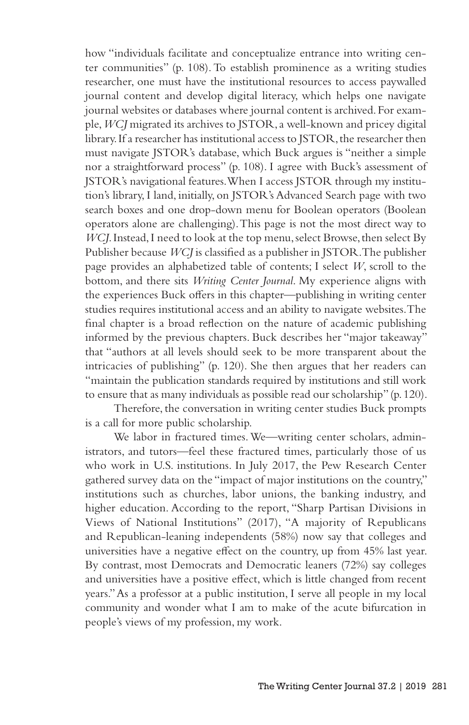how "individuals facilitate and conceptualize entrance into writing center communities" (p. 108). To establish prominence as a writing studies researcher, one must have the institutional resources to access paywalled journal content and develop digital literacy, which helps one navigate journal websites or databases where journal content is archived. For example, *WCJ* migrated its archives to JSTOR, a well-known and pricey digital library. If a researcher has institutional access to JSTOR, the researcher then must navigate JSTOR's database, which Buck argues is "neither a simple nor a straightforward process" (p. 108). I agree with Buck's assessment of JSTOR's navigational features. When I access JSTOR through my institution's library, I land, initially, on JSTOR's Advanced Search page with two search boxes and one drop-down menu for Boolean operators (Boolean operators alone are challenging). This page is not the most direct way to *WCJ*. Instead, I need to look at the top menu, select Browse, then select By Publisher because *WCJ* is classified as a publisher in JSTOR. The publisher page provides an alphabetized table of contents; I select *W*, scroll to the bottom, and there sits *Writing Center Journal*. My experience aligns with the experiences Buck offers in this chapter—publishing in writing center studies requires institutional access and an ability to navigate websites. The final chapter is a broad reflection on the nature of academic publishing informed by the previous chapters. Buck describes her "major takeaway" that "authors at all levels should seek to be more transparent about the intricacies of publishing" (p. 120). She then argues that her readers can "maintain the publication standards required by institutions and still work to ensure that as many individuals as possible read our scholarship" (p. 120).

Therefore, the conversation in writing center studies Buck prompts is a call for more public scholarship.

We labor in fractured times. We—writing center scholars, administrators, and tutors—feel these fractured times, particularly those of us who work in U.S. institutions. In July 2017, the Pew Research Center gathered survey data on the "impact of major institutions on the country," institutions such as churches, labor unions, the banking industry, and higher education. According to the report, "Sharp Partisan Divisions in Views of National Institutions" (2017), "A majority of Republicans and Republican-leaning independents (58%) now say that colleges and universities have a negative effect on the country, up from 45% last year. By contrast, most Democrats and Democratic leaners (72%) say colleges and universities have a positive effect, which is little changed from recent years." As a professor at a public institution, I serve all people in my local community and wonder what I am to make of the acute bifurcation in people's views of my profession, my work.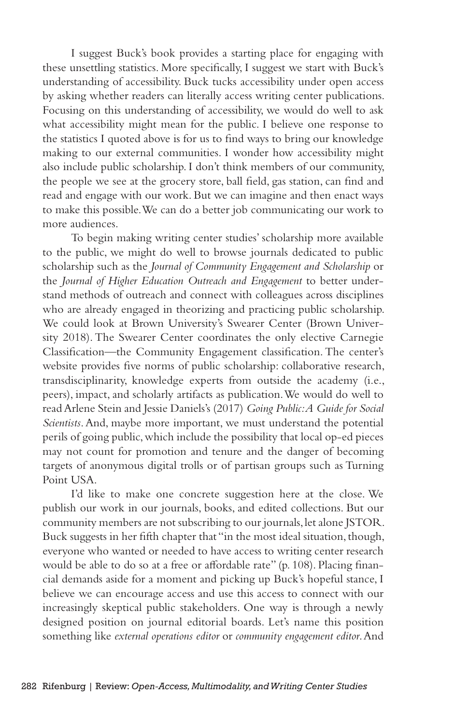I suggest Buck's book provides a starting place for engaging with these unsettling statistics. More specifically, I suggest we start with Buck's understanding of accessibility. Buck tucks accessibility under open access by asking whether readers can literally access writing center publications. Focusing on this understanding of accessibility, we would do well to ask what accessibility might mean for the public. I believe one response to the statistics I quoted above is for us to find ways to bring our knowledge making to our external communities. I wonder how accessibility might also include public scholarship. I don't think members of our community, the people we see at the grocery store, ball field, gas station, can find and read and engage with our work. But we can imagine and then enact ways to make this possible. We can do a better job communicating our work to more audiences.

To begin making writing center studies' scholarship more available to the public, we might do well to browse journals dedicated to public scholarship such as the *Journal of Community Engagement and Scholarship* or the *Journal of Higher Education Outreach and Engagement* to better understand methods of outreach and connect with colleagues across disciplines who are already engaged in theorizing and practicing public scholarship. We could look at Brown University's Swearer Center (Brown University 2018). The Swearer Center coordinates the only elective Carnegie Classification—the Community Engagement classification. The center's website provides five norms of public scholarship: collaborative research, transdisciplinarity, knowledge experts from outside the academy (i.e., peers), impact, and scholarly artifacts as publication. We would do well to read Arlene Stein and Jessie Daniels's (2017) *Going Public: A Guide for Social Scientists*. And, maybe more important, we must understand the potential perils of going public, which include the possibility that local op-ed pieces may not count for promotion and tenure and the danger of becoming targets of anonymous digital trolls or of partisan groups such as Turning Point USA.

I'd like to make one concrete suggestion here at the close. We publish our work in our journals, books, and edited collections. But our community members are not subscribing to our journals, let alone JSTOR. Buck suggests in her fifth chapter that "in the most ideal situation, though, everyone who wanted or needed to have access to writing center research would be able to do so at a free or affordable rate" (p. 108). Placing financial demands aside for a moment and picking up Buck's hopeful stance, I believe we can encourage access and use this access to connect with our increasingly skeptical public stakeholders. One way is through a newly designed position on journal editorial boards. Let's name this position something like *external operations editor* or *community engagement editor*. And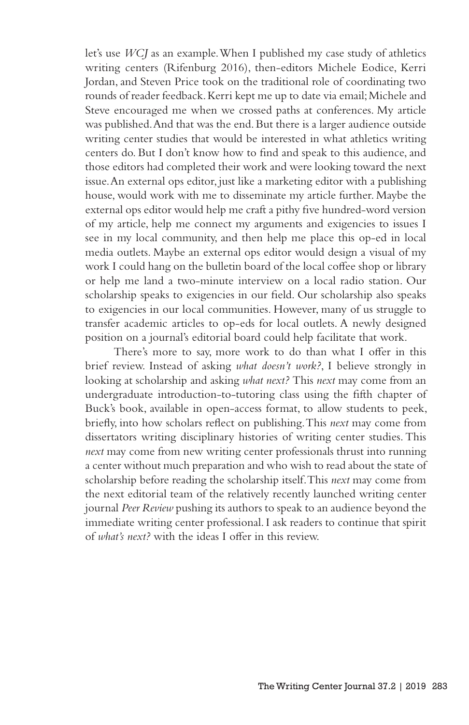let's use *WCJ* as an example. When I published my case study of athletics writing centers (Rifenburg 2016), then-editors Michele Eodice, Kerri Jordan, and Steven Price took on the traditional role of coordinating two rounds of reader feedback. Kerri kept me up to date via email; Michele and Steve encouraged me when we crossed paths at conferences. My article was published. And that was the end. But there is a larger audience outside writing center studies that would be interested in what athletics writing centers do. But I don't know how to find and speak to this audience, and those editors had completed their work and were looking toward the next issue. An external ops editor, just like a marketing editor with a publishing house, would work with me to disseminate my article further. Maybe the external ops editor would help me craft a pithy five hundred-word version of my article, help me connect my arguments and exigencies to issues I see in my local community, and then help me place this op-ed in local media outlets. Maybe an external ops editor would design a visual of my work I could hang on the bulletin board of the local coffee shop or library or help me land a two-minute interview on a local radio station. Our scholarship speaks to exigencies in our field. Our scholarship also speaks to exigencies in our local communities. However, many of us struggle to transfer academic articles to op-eds for local outlets. A newly designed position on a journal's editorial board could help facilitate that work.

There's more to say, more work to do than what I offer in this brief review. Instead of asking *what doesn't work?*, I believe strongly in looking at scholarship and asking *what next?* This *next* may come from an undergraduate introduction-to-tutoring class using the fifth chapter of Buck's book, available in open-access format, to allow students to peek, briefly, into how scholars reflect on publishing. This *next* may come from dissertators writing disciplinary histories of writing center studies. This *next* may come from new writing center professionals thrust into running a center without much preparation and who wish to read about the state of scholarship before reading the scholarship itself. This *next* may come from the next editorial team of the relatively recently launched writing center journal *Peer Review* pushing its authors to speak to an audience beyond the immediate writing center professional. I ask readers to continue that spirit of *what's next?* with the ideas I offer in this review.